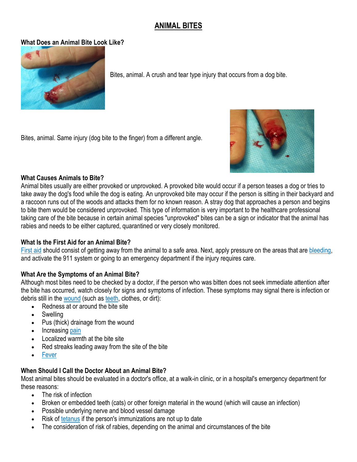# **ANIMAL BITES**

# **What Does an Animal Bite Look Like?**



Bites, animal. A crush and tear type injury that occurs from a dog bite.

Bites, animal. Same injury (dog bite to the finger) from a different angle.



# **What Causes Animals to Bite?**

Animal bites usually are either provoked or unprovoked. A provoked bite would occur if a person teases a dog or tries to take away the dog's food while the dog is eating. An unprovoked bite may occur if the person is sitting in their backyard and a raccoon runs out of the woods and attacks them for no known reason. A stray dog that approaches a person and begins to bite them would be considered unprovoked. This type of information is very important to the healthcare professional taking care of the bite because in certain animal species "unprovoked" bites can be a sign or indicator that the animal has rabies and needs to be either captured, quarantined or very closely monitored.

### **What Is the First Aid for an Animal Bite?**

[First aid](https://www.emedicinehealth.com/first_aid/article_em.htm) should consist of getting away from the animal to a safe area. Next, apply pressure on the areas that are [bleeding,](https://www.emedicinehealth.com/wilderness_bleeding/article_em.htm) and activate the 911 system or going to an emergency department if the injury requires care.

# **What Are the Symptoms of an Animal Bite?**

Although most bites need to be checked by a doctor, if the person who was bitten does not seek immediate attention after the bite has occurred, watch closely for signs and symptoms of infection. These symptoms may signal there is infection or debris still in the [wound](https://www.emedicinehealth.com/puncture_wound/article_em.htm) (such as [teeth,](https://www.emedicinehealth.com/slideshow_pictures_habits_that_wreck_your_teeth/article_em.htm) clothes, or dirt):

- Redness at or around the bite site
- Swelling
- Pus (thick) drainage from the wound
- Increasing [pain](https://www.emedicinehealth.com/slideshow_surprising_reasons_youre_in_pain/article_em.htm)
- Localized warmth at the bite site
- Red streaks leading away from the site of the bite
- [Fever](https://www.emedicinehealth.com/fever_in_adults/article_em.htm)

# **When Should I Call the Doctor About an Animal Bite?**

Most animal bites should be evaluated in a doctor's office, at a walk-in clinic, or in a hospital's emergency department for these reasons:

- The risk of infection
- Broken or embedded teeth (cats) or other foreign material in the wound (which will cause an infection)
- Possible underlying nerve and blood vessel damage
- Risk of [tetanus](https://www.emedicinehealth.com/tetanus/article_em.htm) if the person's immunizations are not up to date
- The consideration of risk of rabies, depending on the animal and circumstances of the bite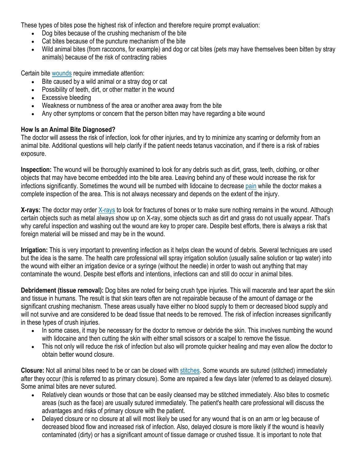These types of bites pose the highest risk of infection and therefore require prompt evaluation:

- Dog bites because of the crushing mechanism of the bite
- Cat bites because of the puncture mechanism of the bite
- Wild animal bites (from raccoons, for example) and dog or cat bites (pets may have themselves been bitten by stray animals) because of the risk of contracting rabies

Certain bite [wounds](https://www.emedicinehealth.com/wound_care/article_em.htm) require immediate attention:

- Bite caused by a wild animal or a stray dog or cat
- Possibility of teeth, dirt, or other matter in the wound
- Excessive bleeding
- Weakness or numbness of the area or another area away from the bite
- Any other symptoms or concern that the person bitten may have regarding a bite wound

# **How Is an Animal Bite Diagnosed?**

The doctor will assess the risk of infection, look for other injuries, and try to minimize any scarring or deformity from an animal bite. Additional questions will help clarify if the patient needs tetanus vaccination, and if there is a risk of rabies exposure.

**Inspection:** The wound will be thoroughly examined to look for any debris such as dirt, grass, teeth, clothing, or other objects that may have become embedded into the bite area. Leaving behind any of these would increase the risk for infections significantly. Sometimes the wound will be numbed with lidocaine to decrease [pain](https://www.emedicinehealth.com/pain_quiz_iq/quiz.htm) while the doctor makes a complete inspection of the area. This is not always necessary and depends on the extent of the injury.

**X-rays:** The doctor may order [X-rays](https://www.emedicinehealth.com/understanding_x-xays/article_em.htm) to look for fractures of bones or to make sure nothing remains in the wound. Although certain objects such as metal always show up on X-ray, some objects such as dirt and grass do not usually appear. That's why careful inspection and washing out the wound are key to proper care. Despite best efforts, there is always a risk that foreign material will be missed and may be in the wound.

**Irrigation:** This is very important to preventing infection as it helps clean the wound of debris. Several techniques are used but the idea is the same. The health care professional will spray irrigation solution (usually saline solution or tap water) into the wound with either an irrigation device or a syringe (without the needle) in order to wash out anything that may contaminate the wound. Despite best efforts and intentions, infections can and still do occur in animal bites.

**Debridement (tissue removal):** Dog bites are noted for being crush type injuries. This will macerate and tear apart the skin and tissue in humans. The result is that skin tears often are not repairable because of the amount of damage or the significant crushing mechanism. These areas usually have either no blood supply to them or decreased blood supply and will not survive and are considered to be dead tissue that needs to be removed. The risk of infection increases significantly in these types of crush injuries.

- In some cases, it may be necessary for the doctor to remove or debride the skin. This involves numbing the wound with lidocaine and then cutting the skin with either small scissors or a scalpel to remove the tissue.
- This not only will reduce the risk of infection but also will promote quicker healing and may even allow the doctor to obtain better wound closure.

**Closure:** Not all animal bites need to be or can be closed with [stitches.](https://www.emedicinehealth.com/removing_stitches/article_em.htm) Some wounds are sutured (stitched) immediately after they occur (this is referred to as primary closure). Some are repaired a few days later (referred to as delayed closure). Some animal bites are never sutured.

- Relatively clean wounds or those that can be easily cleansed may be stitched immediately. Also bites to cosmetic areas (such as the face) are usually sutured immediately. The patient's health care professional will discuss the advantages and risks of primary closure with the patient.
- Delayed closure or no closure at all will most likely be used for any wound that is on an arm or leg because of decreased blood flow and increased risk of infection. Also, delayed closure is more likely if the wound is heavily contaminated (dirty) or has a significant amount of tissue damage or crushed tissue. It is important to note that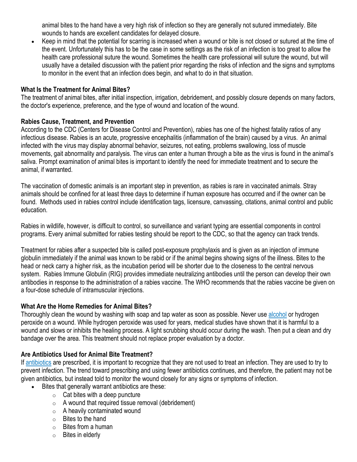animal bites to the hand have a very high risk of infection so they are generally not sutured immediately. Bite wounds to hands are excellent candidates for delayed closure.

• Keep in mind that the potential for scarring is increased when a wound or bite is not closed or sutured at the time of the event. Unfortunately this has to be the case in some settings as the risk of an infection is too great to allow the health care professional suture the wound. Sometimes the health care professional will suture the wound, but will usually have a detailed discussion with the patient prior regarding the risks of infection and the signs and symptoms to monitor in the event that an infection does begin, and what to do in that situation.

### **What Is the Treatment for Animal Bites?**

The treatment of animal bites, after initial inspection, irrigation, debridement, and possibly closure depends on many factors, the doctor's experience, preference, and the type of wound and location of the wound.

# **Rabies Cause, Treatment, and Prevention**

According to the CDC (Centers for Disease Control and Prevention), rabies has one of the highest fatality ratios of any infectious disease. Rabies is an acute, progressive encephalitis (inflammation of the brain) caused by a virus. An animal infected with the virus may display abnormal behavior, seizures, not eating, problems swallowing, loss of muscle movements, gait abnormality and paralysis. The virus can enter a human through a bite as the virus is found in the animal's saliva. Prompt examination of animal bites is important to identify the need for immediate treatment and to secure the animal, if warranted.

The vaccination of domestic animals is an important step in prevention, as rabies is rare in vaccinated animals. Stray animals should be confined for at least three days to determine if human exposure has occurred and if the owner can be found. Methods used in rabies control include identification tags, licensure, canvassing, citations, animal control and public education.

Rabies in wildlife, however, is difficult to control, so surveillance and variant typing are essential components in control programs. Every animal submitted for rabies testing should be report to the CDC, so that the agency can track trends.

Treatment for rabies after a suspected bite is called post-exposure prophylaxis and is given as an injection of immune globulin immediately if the animal was known to be rabid or if the animal begins showing signs of the illness. Bites to the head or neck carry a higher risk, as the incubation period will be shorter due to the closeness to the central nervous system. Rabies Immune Globulin (RIG) provides immediate neutralizing antibodies until the person can develop their own antibodies in response to the administration of a rabies vaccine. The WHO recommends that the rabies vaccine be given on a four-dose schedule of intramuscular injections.

### **What Are the Home Remedies for Animal Bites?**

Thoroughly clean the wound by washing with soap and tap water as soon as possible. Never use [alcohol](https://www.emedicinehealth.com/alcohol_quiz_iq/quiz.htm) or hydrogen peroxide on a wound. While hydrogen peroxide was used for years, medical studies have shown that it is harmful to a wound and slows or inhibits the healing process. A light scrubbing should occur during the wash. Then put a clean and dry bandage over the area. This treatment should not replace proper evaluation by a doctor.

### **Are Antibiotics Used for Animal Bite Treatment?**

If [antibiotics](https://www.emedicinehealth.com/antibiotics/article_em.htm) are prescribed, it is important to recognize that they are not used to treat an infection. They are used to try to prevent infection. The trend toward prescribing and using fewer antibiotics continues, and therefore, the patient may not be given antibiotics, but instead told to monitor the wound closely for any signs or symptoms of infection.

- Bites that generally warrant antibiotics are these:
	- $\circ$  Cat bites with a deep puncture
	- $\circ$  A wound that required tissue removal (debridement)
	- $\circ$  A heavily contaminated wound
	- o Bites to the hand
	- o Bites from a human
	- o Bites in elderly